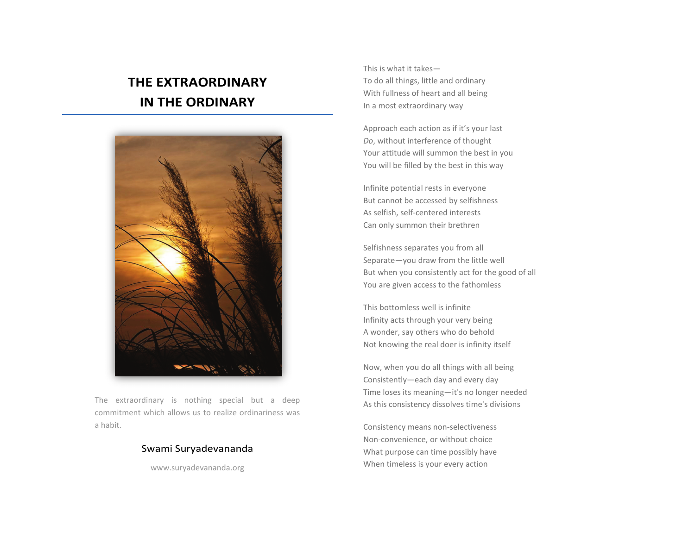## **THE EXTRAORDINARY IN THE ORDINARY**



The extraordinary is nothing special but a deep commitment which allows us to realize ordinariness was a habit.

## Swami Suryadevananda

www.suryadevananda.org

This is what it takes— To do all things, little and ordinary With fullness of heart and all being In a most extraordinary way

Approach each action as if it's your last *Do*, without interference of thought Your attitude will summon the best in you You will be filled by the best in this way

Infinite potential rests in everyone But cannot be accessed by selfishness As selfish, self-centered interests Can only summon their brethren

Selfishness separates you from all Separate—you draw from the little well But when you consistently act for the good of all You are given access to the fathomless

This bottomless well is infinite Infinity acts through your very being A wonder, say others who do behold Not knowing the real doer is infinity itself

Now, when you do all things with all being Consistently—each day and every day Time loses its meaning—it's no longer needed As this consistency dissolves time's divisions

Consistency means non-selectiveness Non-convenience, or without choice What purpose can time possibly have When timeless is your every action